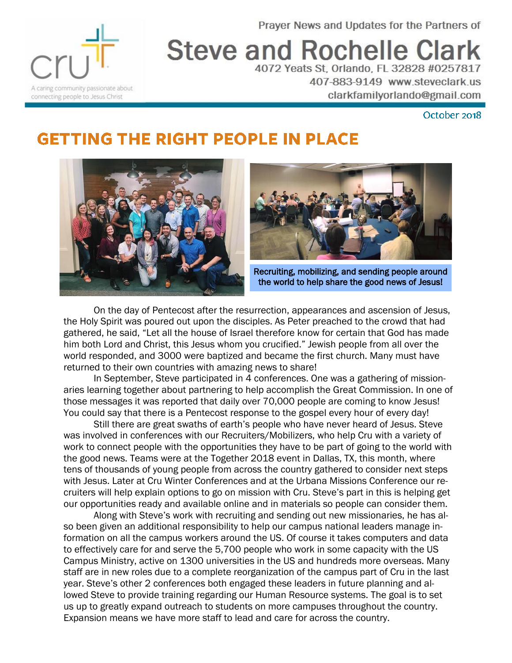Prayer News and Updates for the Partners of



**Steve and Rochelle Clark** 4072 Yeats St, Orlando, FL 32828 #0257817

> 407-883-9149 www.steveclark.us clarkfamilyorlando@gmail.com

> > October 2018

## **GETTING THE RIGHT PEOPLE IN PLACE**





Recruiting, mobilizing, and sending people around the world to help share the good news of Jesus!

On the day of Pentecost after the resurrection, appearances and ascension of Jesus, the Holy Spirit was poured out upon the disciples. As Peter preached to the crowd that had gathered, he said, "Let all the house of Israel therefore know for certain that God has made him both Lord and Christ, this Jesus whom you crucified." Jewish people from all over the world responded, and 3000 were baptized and became the first church. Many must have returned to their own countries with amazing news to share!

In September, Steve participated in 4 conferences. One was a gathering of missionaries learning together about partnering to help accomplish the Great Commission. In one of those messages it was reported that daily over 70,000 people are coming to know Jesus! You could say that there is a Pentecost response to the gospel every hour of every day!

Still there are great swaths of earth's people who have never heard of Jesus. Steve was involved in conferences with our Recruiters/Mobilizers, who help Cru with a variety of work to connect people with the opportunities they have to be part of going to the world with the good news. Teams were at the Together 2018 event in Dallas, TX, this month, where tens of thousands of young people from across the country gathered to consider next steps with Jesus. Later at Cru Winter Conferences and at the Urbana Missions Conference our recruiters will help explain options to go on mission with Cru. Steve's part in this is helping get our opportunities ready and available online and in materials so people can consider them.

Along with Steve's work with recruiting and sending out new missionaries, he has also been given an additional responsibility to help our campus national leaders manage information on all the campus workers around the US. Of course it takes computers and data to effectively care for and serve the 5,700 people who work in some capacity with the US Campus Ministry, active on 1300 universities in the US and hundreds more overseas. Many staff are in new roles due to a complete reorganization of the campus part of Cru in the last year. Steve's other 2 conferences both engaged these leaders in future planning and allowed Steve to provide training regarding our Human Resource systems. The goal is to set us up to greatly expand outreach to students on more campuses throughout the country. Expansion means we have more staff to lead and care for across the country.